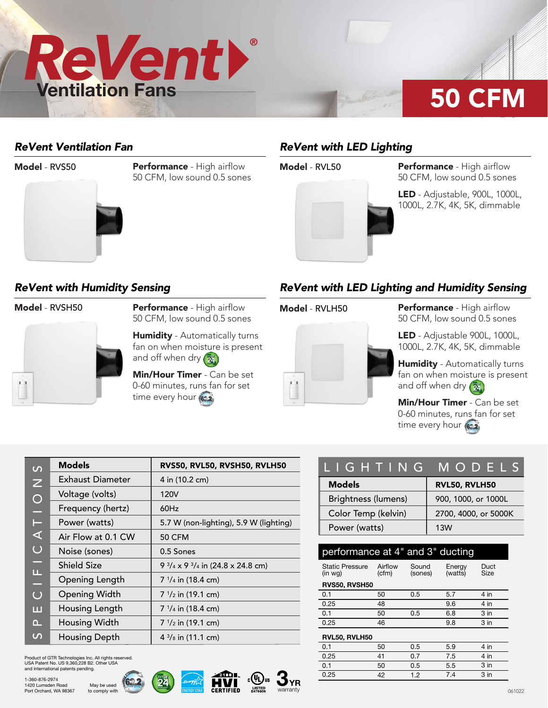

### *ReVent Ventilation Fan*

### Model - RVS50



Performance - High airflow 50 CFM, low sound 0.5 sones

## *ReVent with LED Lighting*



**Model - RVL50 Performance - High airflow** 50 CFM, low sound 0.5 sones

> LED - Adjustable, 900L, 1000L, 1000L, 2.7K, 4K, 5K, dimmable

### *ReVent with Humidity Sensing*



Model - RVSH50 Performance - High airflow 50 CFM, low sound 0.5 sones

> **Humidity** - Automatically turns fan on when moisture is present and off when dry (24)

Min/Hour Timer - Can be set 0-60 minutes, runs fan for set time every hour (622)

### *ReVent with LED Lighting and Humidity Sensing*



**Model - RVLH50 Performance - High airflow** 50 CFM, low sound 0.5 sones

> LED - Adjustable 900L, 1000L, 1000L, 2.7K, 4K, 5K, dimmable

Humidity - Automatically turns fan on when moisture is present and off when dry  $\left(\frac{m}{24}\right)$ 

Min/Hour Timer - Can be set 0-60 minutes, runs fan for set time every hour (622)

| $\overline{C}$ | <b>Models</b>        | RVS50, RVL50, RVSH50, RVLH50                          |
|----------------|----------------------|-------------------------------------------------------|
| $\overline{z}$ | Exhaust Diameter     | 4 in (10.2 cm)                                        |
| $\bigcirc$     | Voltage (volts)      | 120V                                                  |
| ۳              | Frequency (hertz)    | 60Hz                                                  |
| Е              | Power (watts)        | 5.7 W (non-lighting), 5.9 W (lighting)                |
| ⋖              | Air Flow at 0.1 CW   | <b>50 CFM</b>                                         |
| $\overline{C}$ | Noise (sones)        | 0.5 Sones                                             |
| -              | <b>Shield Size</b>   | 9 $\frac{3}{4}$ x 9 $\frac{3}{4}$ in (24.8 x 24.8 cm) |
| Щ<br>÷.        | Opening Length       | $7\frac{1}{4}$ in (18.4 cm)                           |
| $\overline{O}$ | <b>Opening Width</b> | $7 \frac{1}{2}$ in (19.1 cm)                          |
| ш              | Housing Length       | $7 \frac{1}{4}$ in (18.4 cm)                          |
| Δ.,            | Housing Width        | $7 \frac{1}{2}$ in (19.1 cm)                          |
| $\mathcal{L}$  | Housing Depth        | $4\frac{3}{8}$ in (11.1 cm)                           |

Product of GTR Technologies Inc. All rights reserved. USA Patent No. US 9,360,228 B2. Other USA and international patents pending.

> May be used to comply with







| LIGHTING MODELS     |                      |  |  |
|---------------------|----------------------|--|--|
| <b>Models</b>       | RVL50, RVLH50        |  |  |
| Brightness (lumens) | 900, 1000, or 1000L  |  |  |
| Color Temp (kelvin) | 2700, 4000, or 5000K |  |  |
| Power (watts)       | 13W                  |  |  |

| performance at 4" and 3" ducting  |                  |                  |                   |                 |  |  |  |  |
|-----------------------------------|------------------|------------------|-------------------|-----------------|--|--|--|--|
| <b>Static Pressure</b><br>(in wq) | Airflow<br>(cfm) | Sound<br>(sones) | Energy<br>(watts) | Duct<br>Size    |  |  |  |  |
| RVS50, RVSH50                     |                  |                  |                   |                 |  |  |  |  |
| 0.1                               | 50               | 0.5              | 5.7               | $4$ in          |  |  |  |  |
| 0.25                              | 48               |                  | 9.6               | $4$ in          |  |  |  |  |
| 0.1                               | 50               | 0.5              | 6.8               | $3$ in          |  |  |  |  |
| 0.25                              | 46               |                  | 9.8               | $3$ in          |  |  |  |  |
| RVL50, RVLH50                     |                  |                  |                   |                 |  |  |  |  |
| 0.1                               | 50               | 0.5              | 5.9               | 4 in            |  |  |  |  |
| 0.25                              | 41               | 0.7              | 7.5               | 4 in            |  |  |  |  |
| 0.1                               | 50               | 0.5              | 5.5               | $3$ in          |  |  |  |  |
| 0.25                              | 42               | 1.2              | 7.4               | 3 <sub>in</sub> |  |  |  |  |